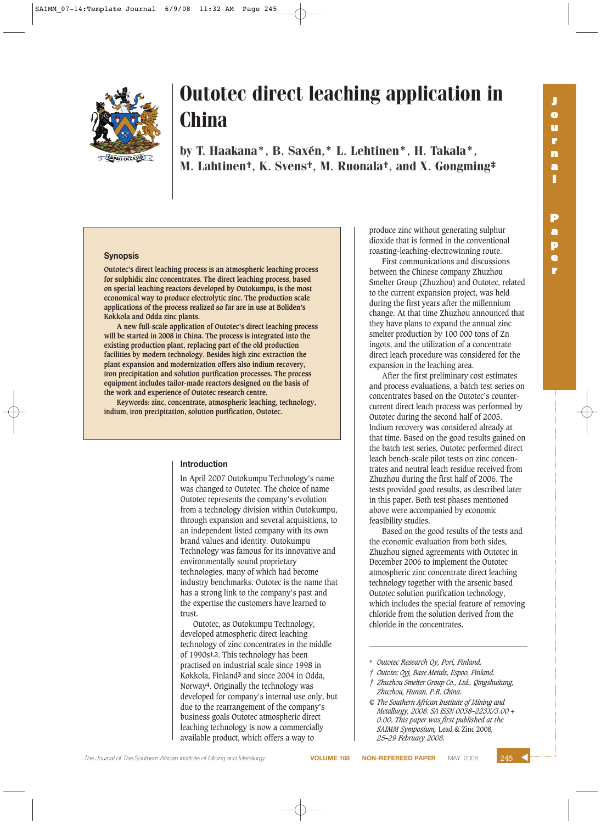

by T. Haakana\*, B. Saxén,\* L. Lehtinen\*, H. Takala\*, M. Lahtinen†, K. Svens†, M. Ruonala†, and X. Gongming‡

#### **Synopsis**

**Outotec's direct leaching process is an atmospheric leaching process for sulphidic zinc concentrates. The direct leaching process, based on special leaching reactors developed by Outokumpu, is the most economical way to produce electrolytic zinc. The production scale applications of the process realized so far are in use at Boliden's Kokkola and Odda zinc plants.**

**A new full-scale application of Outotec's direct leaching process will be started in 2008 in China. The process is integrated into the existing production plant, replacing part of the old production facilities by modern technology. Besides high zinc extraction the plant expansion and modernization offers also indium recovery, iron precipitation and solution purification processes. The process equipment includes tailor-made reactors designed on the basis of the work and experience of Outotec research centre.**

**Keywords: zinc, concentrate, atmospheric leaching, technology, indium, iron precipitation, solution purification, Outotec.**

#### **Introduction**

In April 2007 Outokumpu Technology's name was changed to Outotec. The choice of name Outotec represents the company's evolution from a technology division within Outokumpu, through expansion and several acquisitions, to an independent listed company with its own brand values and identity. Outokumpu Technology was famous for its innovative and environmentally sound proprietary technologies, many of which had become industry benchmarks. Outotec is the name that has a strong link to the company's past and the expertise the customers have learned to trust.

Outotec, as Outokumpu Technology, developed atmospheric direct leaching technology of zinc concentrates in the middle of 1990s**1,2**. This technology has been practised on industrial scale since 1998 in Kokkola, Finland**3** and since 2004 in Odda, Norway**4**. Originally the technology was developed for company's internal use only, but due to the rearrangement of the company's business goals Outotec atmospheric direct leaching technology is now a commercially available product, which offers a way to

produce zinc without generating sulphur dioxide that is formed in the conventional roasting-leaching-electrowinning route.

First communications and discussions between the Chinese company Zhuzhou Smelter Group (Zhuzhou) and Outotec, related to the current expansion project, was held during the first years after the millennium change. At that time Zhuzhou announced that they have plans to expand the annual zinc smelter production by 100 000 tons of Zn ingots, and the utilization of a concentrate direct leach procedure was considered for the expansion in the leaching area.

After the first preliminary cost estimates and process evaluations, a batch test series on concentrates based on the Outotec's countercurrent direct leach process was performed by Outotec during the second half of 2005. Indium recovery was considered already at that time. Based on the good results gained on the batch test series, Outotec performed direct leach bench-scale pilot tests on zinc concentrates and neutral leach residue received from Zhuzhou during the first half of 2006. The tests provided good results, as described later in this paper. Both test phases mentioned above were accompanied by economic feasibility studies.

Based on the good results of the tests and the economic evaluation from both sides, Zhuzhou signed agreements with Outotec in December 2006 to implement the Outotec atmospheric zinc concentrate direct leaching technology together with the arsenic based Outotec solution purification technology, which includes the special feature of removing chloride from the solution derived from the chloride in the concentrates.

\* *Outotec Research Oy, Pori, Finland.*

- *† Outotec Oyj, Base Metals, Espoo, Finland.*
- *‡ Zhuzhou Smelter Group Co., Ltd., Qingshuitang, Zhuzhou, Hunan, P.R. China.*
- *© The Southern African Institute of Mining and Metallurgy, 2008. SA ISSN 0038–223X/3.00 + 0.00. This paper was first published at the SAIMM Symposium,* Lead & Zinc 2008*, 25–29 February 2008.*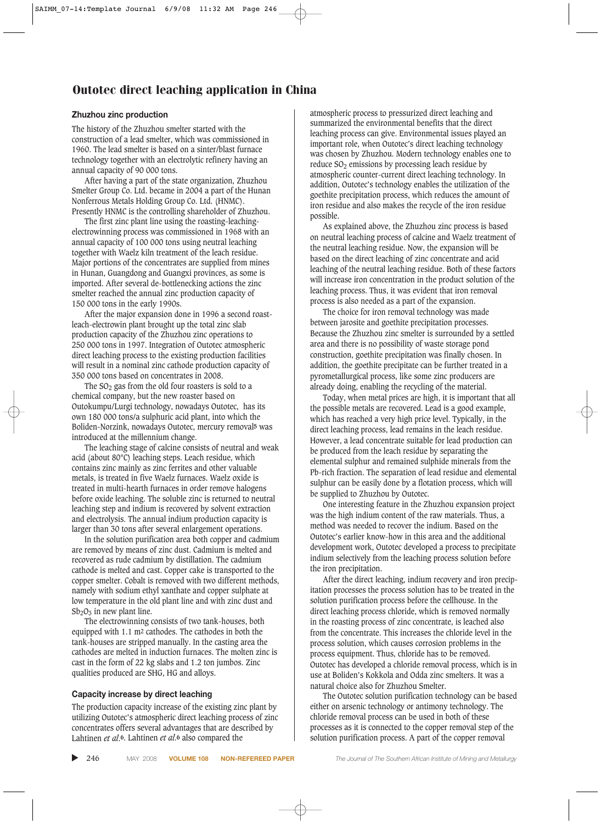#### **Zhuzhou zinc production**

The history of the Zhuzhou smelter started with the construction of a lead smelter, which was commissioned in 1960. The lead smelter is based on a sinter/blast furnace technology together with an electrolytic refinery having an annual capacity of 90 000 tons.

After having a part of the state organization, Zhuzhou Smelter Group Co. Ltd. became in 2004 a part of the Hunan Nonferrous Metals Holding Group Co. Ltd. (HNMC). Presently HNMC is the controlling shareholder of Zhuzhou.

The first zinc plant line using the roasting-leachingelectrowinning process was commissioned in 1968 with an annual capacity of 100 000 tons using neutral leaching together with Waelz kiln treatment of the leach residue. Major portions of the concentrates are supplied from mines in Hunan, Guangdong and Guangxi provinces, as some is imported. After several de-bottlenecking actions the zinc smelter reached the annual zinc production capacity of 150 000 tons in the early 1990s.

After the major expansion done in 1996 a second roastleach-electrowin plant brought up the total zinc slab production capacity of the Zhuzhou zinc operations to 250 000 tons in 1997. Integration of Outotec atmospheric direct leaching process to the existing production facilities will result in a nominal zinc cathode production capacity of 350 000 tons based on concentrates in 2008.

The  $SO<sub>2</sub>$  gas from the old four roasters is sold to a chemical company, but the new roaster based on Outokumpu/Lurgi technology, nowadays Outotec, has its own 180 000 tons/a sulphuric acid plant, into which the Boliden-Norzink, nowadays Outotec, mercury removal**5** was introduced at the millennium change.

The leaching stage of calcine consists of neutral and weak acid (about 80°C) leaching steps. Leach residue, which contains zinc mainly as zinc ferrites and other valuable metals, is treated in five Waelz furnaces. Waelz oxide is treated in multi-hearth furnaces in order remove halogens before oxide leaching. The soluble zinc is returned to neutral leaching step and indium is recovered by solvent extraction and electrolysis. The annual indium production capacity is larger than 30 tons after several enlargement operations.

In the solution purification area both copper and cadmium are removed by means of zinc dust. Cadmium is melted and recovered as rude cadmium by distillation. The cadmium cathode is melted and cast. Copper cake is transported to the copper smelter. Cobalt is removed with two different methods, namely with sodium ethyl xanthate and copper sulphate at low temperature in the old plant line and with zinc dust and  $Sb_2O_3$  in new plant line.

The electrowinning consists of two tank-houses, both equipped with 1.1 m2 cathodes. The cathodes in both the tank-houses are stripped manually. In the casting area the cathodes are melted in induction furnaces. The molten zinc is cast in the form of 22 kg slabs and 1.2 ton jumbos. Zinc qualities produced are SHG, HG and alloys.

#### **Capacity increase by direct leaching**

The production capacity increase of the existing zinc plant by utilizing Outotec's atmospheric direct leaching process of zinc concentrates offers several advantages that are described by Lahtinen *et al*.**6**. Lahtinen *et al*.**6** also compared the

atmospheric process to pressurized direct leaching and summarized the environmental benefits that the direct leaching process can give. Environmental issues played an important role, when Outotec's direct leaching technology was chosen by Zhuzhou. Modern technology enables one to reduce  $SO<sub>2</sub>$  emissions by processing leach residue by atmospheric counter-current direct leaching technology. In addition, Outotec's technology enables the utilization of the goethite precipitation process, which reduces the amount of iron residue and also makes the recycle of the iron residue possible.

As explained above, the Zhuzhou zinc process is based on neutral leaching process of calcine and Waelz treatment of the neutral leaching residue. Now, the expansion will be based on the direct leaching of zinc concentrate and acid leaching of the neutral leaching residue. Both of these factors will increase iron concentration in the product solution of the leaching process. Thus, it was evident that iron removal process is also needed as a part of the expansion.

The choice for iron removal technology was made between jarosite and goethite precipitation processes. Because the Zhuzhou zinc smelter is surrounded by a settled area and there is no possibility of waste storage pond construction, goethite precipitation was finally chosen. In addition, the goethite precipitate can be further treated in a pyrometallurgical process, like some zinc producers are already doing, enabling the recycling of the material.

Today, when metal prices are high, it is important that all the possible metals are recovered. Lead is a good example, which has reached a very high price level. Typically, in the direct leaching process, lead remains in the leach residue. However, a lead concentrate suitable for lead production can be produced from the leach residue by separating the elemental sulphur and remained sulphide minerals from the Pb-rich fraction. The separation of lead residue and elemental sulphur can be easily done by a flotation process, which will be supplied to Zhuzhou by Outotec.

One interesting feature in the Zhuzhou expansion project was the high indium content of the raw materials. Thus, a method was needed to recover the indium. Based on the Outotec's earlier know-how in this area and the additional development work, Outotec developed a process to precipitate indium selectively from the leaching process solution before the iron precipitation.

After the direct leaching, indium recovery and iron precipitation processes the process solution has to be treated in the solution purification process before the cellhouse. In the direct leaching process chloride, which is removed normally in the roasting process of zinc concentrate, is leached also from the concentrate. This increases the chloride level in the process solution, which causes corrosion problems in the process equipment. Thus, chloride has to be removed. Outotec has developed a chloride removal process, which is in use at Boliden's Kokkola and Odda zinc smelters. It was a natural choice also for Zhuzhou Smelter.

The Outotec solution purification technology can be based either on arsenic technology or antimony technology. The chloride removal process can be used in both of these processes as it is connected to the copper removal step of the solution purification process. A part of the copper removal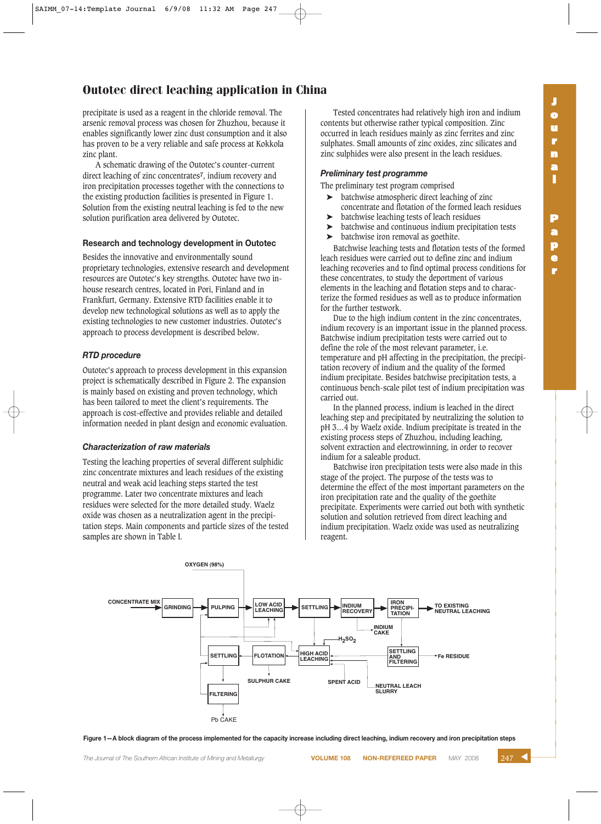precipitate is used as a reagent in the chloride removal. The arsenic removal process was chosen for Zhuzhou, because it enables significantly lower zinc dust consumption and it also has proven to be a very reliable and safe process at Kokkola zinc plant.

A schematic drawing of the Outotec's counter-current direct leaching of zinc concentrates**7**, indium recovery and iron precipitation processes together with the connections to the existing production facilities is presented in Figure 1. Solution from the existing neutral leaching is fed to the new solution purification area delivered by Outotec.

#### **Research and technology development in Outotec**

Besides the innovative and environmentally sound proprietary technologies, extensive research and development resources are Outotec's key strengths. Outotec have two inhouse research centres, located in Pori, Finland and in Frankfurt, Germany. Extensive RTD facilities enable it to develop new technological solutions as well as to apply the existing technologies to new customer industries. Outotec's approach to process development is described below.

### *RTD procedure*

Outotec's approach to process development in this expansion project is schematically described in Figure 2. The expansion is mainly based on existing and proven technology, which has been tailored to meet the client's requirements. The approach is cost-effective and provides reliable and detailed information needed in plant design and economic evaluation.

#### *Characterization of raw materials*

Testing the leaching properties of several different sulphidic zinc concentrate mixtures and leach residues of the existing neutral and weak acid leaching steps started the test programme. Later two concentrate mixtures and leach residues were selected for the more detailed study. Waelz oxide was chosen as a neutralization agent in the precipitation steps. Main components and particle sizes of the tested samples are shown in Table I.

Tested concentrates had relatively high iron and indium contents but otherwise rather typical composition. Zinc occurred in leach residues mainly as zinc ferrites and zinc sulphates. Small amounts of zinc oxides, zinc silicates and zinc sulphides were also present in the leach residues.

## *Preliminary test programme*

The preliminary test program comprised

- ➤ batchwise atmospheric direct leaching of zinc concentrate and flotation of the formed leach residues
- ➤ batchwise leaching tests of leach residues
- ➤ batchwise and continuous indium precipitation tests
- ➤ batchwise iron removal as goethite.

Batchwise leaching tests and flotation tests of the formed leach residues were carried out to define zinc and indium leaching recoveries and to find optimal process conditions for these concentrates, to study the deportment of various elements in the leaching and flotation steps and to characterize the formed residues as well as to produce information for the further testwork.

Due to the high indium content in the zinc concentrates, indium recovery is an important issue in the planned process. Batchwise indium precipitation tests were carried out to define the role of the most relevant parameter, i.e. temperature and pH affecting in the precipitation, the precipitation recovery of indium and the quality of the formed indium precipitate. Besides batchwise precipitation tests, a continuous bench-scale pilot test of indium precipitation was carried out.

In the planned process, indium is leached in the direct leaching step and precipitated by neutralizing the solution to pH 3…4 by Waelz oxide. Indium precipitate is treated in the existing process steps of Zhuzhou, including leaching, solvent extraction and electrowinning, in order to recover indium for a saleable product.

Batchwise iron precipitation tests were also made in this stage of the project. The purpose of the tests was to determine the effect of the most important parameters on the iron precipitation rate and the quality of the goethite precipitate. Experiments were carried out both with synthetic solution and solution retrieved from direct leaching and indium precipitation. Waelz oxide was used as neutralizing reagent.



**Figure 1—A block diagram of the process implemented for the capacity increase including direct leaching, indium recovery and iron precipitation steps**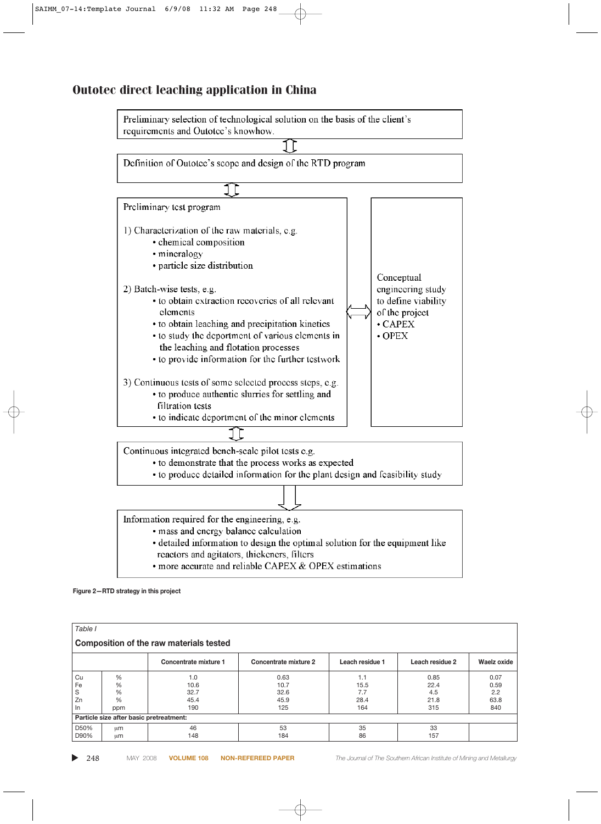

**Figure 2—RTD strategy in this project**

| Table I                                 |                                         |                       |                       |                 |                 |             |  |
|-----------------------------------------|-----------------------------------------|-----------------------|-----------------------|-----------------|-----------------|-------------|--|
| Composition of the raw materials tested |                                         |                       |                       |                 |                 |             |  |
|                                         |                                         | Concentrate mixture 1 | Concentrate mixture 2 | Leach residue 1 | Leach residue 2 | Waelz oxide |  |
| Cu                                      | %                                       | 1.0                   | 0.63                  | 1.1             | 0.85            | 0.07        |  |
| Fe                                      | $\frac{0}{0}$                           | 10.6                  | 10.7                  | 15.5            | 22.4            | 0.59        |  |
| S                                       | %                                       | 32.7                  | 32.6                  | 7.7             | 4.5             | 2.2         |  |
| Zn                                      | $\frac{0}{0}$                           | 45.4                  | 45.9                  | 28.4            | 21.8            | 63.8        |  |
| In                                      | ppm                                     | 190                   | 125                   | 164             | 315             | 840         |  |
|                                         | Particle size after basic pretreatment: |                       |                       |                 |                 |             |  |
| D50%                                    | μm                                      | 46                    | 53                    | 35              | 33              |             |  |
| D90%                                    | um                                      | 148                   | 184                   | 86              | 157             |             |  |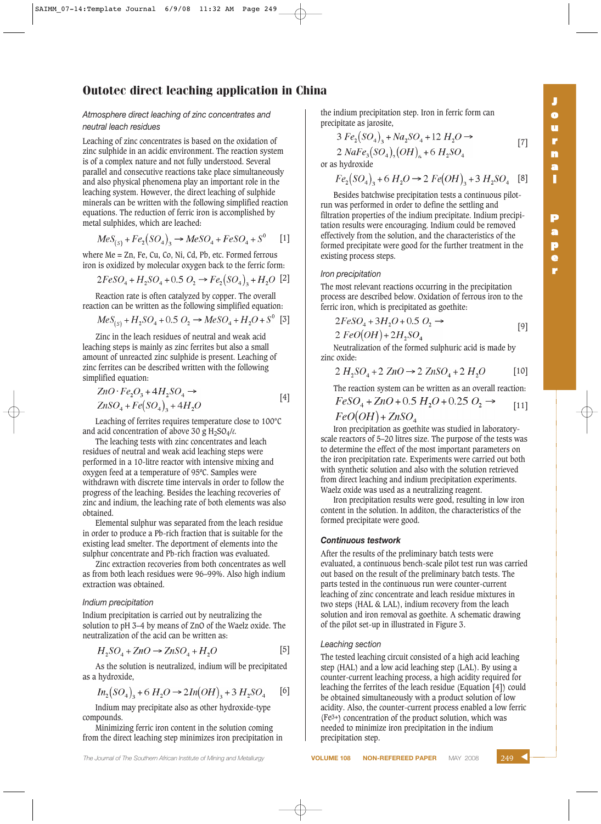#### *Atmosphere direct leaching of zinc concentrates and neutral leach residues*

Leaching of zinc concentrates is based on the oxidation of zinc sulphide in an acidic environment. The reaction system is of a complex nature and not fully understood. Several parallel and consecutive reactions take place simultaneously and also physical phenomena play an important role in the leaching system. However, the direct leaching of sulphide minerals can be written with the following simplified reaction equations. The reduction of ferric iron is accomplished by metal sulphides, which are leached:

$$
MeS_{(s)} + Fe_2(SO_4)_3 \to MeSO_4 + FeSO_4 + S^0 \qquad [1]
$$

where Me = Zn, Fe, Cu, Co, Ni, Cd, Pb, etc. Formed ferrous iron is oxidized by molecular oxygen back to the ferric form:

$$
2FeSO_4 + H_2SO_4 + 0.5 O_2 \rightarrow Fe_2(SO_4)_3 + H_2O
$$
 [2]

Reaction rate is often catalyzed by copper. The overall reaction can be written as the following simplified equation:

$$
MeS_{(s)} + H_2SO_4 + 0.5 O_2 \rightarrow MeSO_4 + H_2O + S^0
$$
 [3]

Zinc in the leach residues of neutral and weak acid leaching steps is mainly as zinc ferrites but also a small amount of unreacted zinc sulphide is present. Leaching of zinc ferrites can be described written with the following simplified equation:

$$
ZnO \cdot Fe_2O_3 + 4H_2SO_4 \rightarrow
$$
  
\n
$$
ZnSO_4 + Fe(SO_4)_3 + 4H_2O
$$
 [4]

Leaching of ferrites requires temperature close to 100°C and acid concentration of above 30 g H2SO4/*l*.

The leaching tests with zinc concentrates and leach residues of neutral and weak acid leaching steps were performed in a 10-litre reactor with intensive mixing and oxygen feed at a temperature of 95ºC. Samples were withdrawn with discrete time intervals in order to follow the progress of the leaching. Besides the leaching recoveries of zinc and indium, the leaching rate of both elements was also obtained.

Elemental sulphur was separated from the leach residue in order to produce a Pb-rich fraction that is suitable for the existing lead smelter. The deportment of elements into the sulphur concentrate and Pb-rich fraction was evaluated.

Zinc extraction recoveries from both concentrates as well as from both leach residues were 96–99%. Also high indium extraction was obtained.

#### *Indium precipitation*

Indium precipitation is carried out by neutralizing the solution to pH 3–4 by means of ZnO of the Waelz oxide. The neutralization of the acid can be written as:

$$
H_2SO_4 + ZnO \to ZnSO_4 + H_2O \tag{5}
$$

As the solution is neutralized, indium will be precipitated as a hydroxide,

$$
In_2(SO_4)_3 + 6H_2O \to 2In(OH)_3 + 3H_2SO_4 \qquad [6]
$$

Indium may precipitate also as other hydroxide-type compounds.

Minimizing ferric iron content in the solution coming from the direct leaching step minimizes iron precipitation in the indium precipitation step. Iron in ferric form can precipitate as jarosite,

$$
3 Fe_2(SO_4)_3 + Na_2SO_4 + 12 H_2O - 2 NaFe_3(SO_4)_2(OH)_2 + 6 H_2SO_4
$$

or as hydroxide

$$
Fe_2(SO_4)_3 + 6H_2O \rightarrow 2Fe(OH)_3 + 3H_2SO_4 \quad [8]
$$

Besides batchwise precipitation tests a continuous pilotrun was performed in order to define the settling and filtration properties of the indium precipitate. Indium precipitation results were encouraging. Indium could be removed effectively from the solution, and the characteristics of the formed precipitate were good for the further treatment in the existing process steps.

#### *Iron precipitation*

The most relevant reactions occurring in the precipitation process are described below. Oxidation of ferrous iron to the ferric iron, which is precipitated as goethite:

$$
2FeSO4 + 3H2O + 0.5 O2 \rightarrow
$$
  
2 FeO(OH) + 2H<sub>2</sub>SO<sub>4</sub> [9]

Neutralization of the formed sulphuric acid is made by zinc oxide:

$$
2 H_2SO_4 + 2 ZnO \to 2 ZnSO_4 + 2 H_2O
$$
 [10]

The reaction system can be written as an overall reaction:

$$
FeSO_4 + ZnO + 0.5 H_2O + 0.25 O_2 \rightarrow [11]
$$
  

$$
FeO(OH) + ZnSO_4
$$

Iron precipitation as goethite was studied in laboratoryscale reactors of 5–20 litres size. The purpose of the tests was to determine the effect of the most important parameters on the iron precipitation rate. Experiments were carried out both with synthetic solution and also with the solution retrieved from direct leaching and indium precipitation experiments. Waelz oxide was used as a neutralizing reagent.

Iron precipitation results were good, resulting in low iron content in the solution. In additon, the characteristics of the formed precipitate were good.

#### *Continuous testwork*

After the results of the preliminary batch tests were evaluated, a continuous bench-scale pilot test run was carried out based on the result of the preliminary batch tests. The parts tested in the continuous run were counter-current leaching of zinc concentrate and leach residue mixtures in two steps (HAL & LAL), indium recovery from the leach solution and iron removal as goethite. A schematic drawing of the pilot set-up in illustrated in Figure 3.

#### *Leaching section*

The tested leaching circuit consisted of a high acid leaching step (HAL) and a low acid leaching step (LAL). By using a counter-current leaching process, a high acidity required for leaching the ferrites of the leach residue (Equation [4]) could be obtained simultaneously with a product solution of low acidity. Also, the counter-current process enabled a low ferric (Fe3+) concentration of the product solution, which was needed to minimize iron precipitation in the indium precipitation step.

**r**

[7]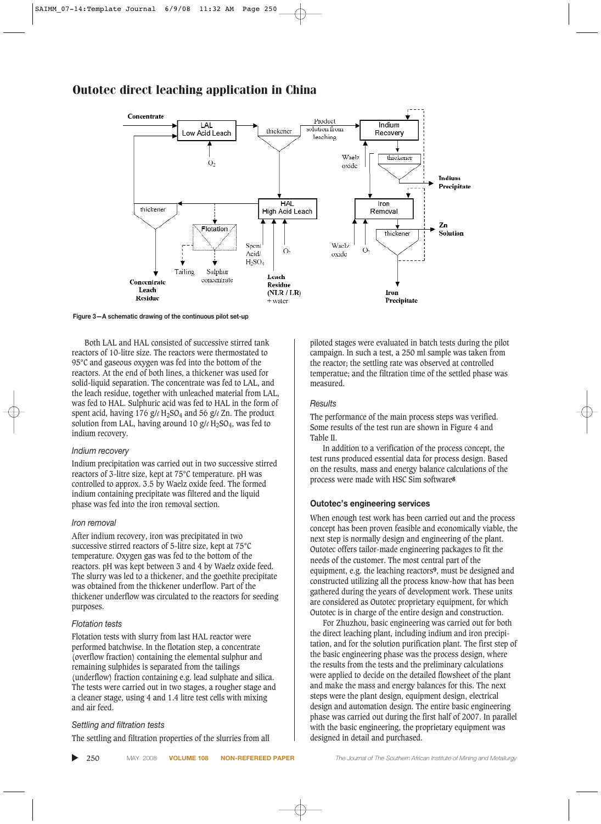

**Figure 3—A schematic drawing of the continuous pilot set-up**

Both LAL and HAL consisted of successive stirred tank reactors of 10-litre size. The reactors were thermostated to 95°C and gaseous oxygen was fed into the bottom of the reactors. At the end of both lines, a thickener was used for solid-liquid separation. The concentrate was fed to LAL, and the leach residue, together with unleached material from LAL, was fed to HAL. Sulphuric acid was fed to HAL in the form of spent acid, having 176 g/ $\ell$  H<sub>2</sub>SO<sub>4</sub> and 56 g/ $\ell$  Zn. The product solution from LAL, having around 10 g/ $\ell$  H<sub>2</sub>SO<sub>4</sub>, was fed to indium recovery.

#### *Indium recovery*

Indium precipitation was carried out in two successive stirred reactors of 3-litre size, kept at 75°C temperature. pH was controlled to approx. 3.5 by Waelz oxide feed. The formed indium containing precipitate was filtered and the liquid phase was fed into the iron removal section.

#### *Iron removal*

After indium recovery, iron was precipitated in two successive stirred reactors of 5-litre size, kept at 75°C temperature. Oxygen gas was fed to the bottom of the reactors. pH was kept between 3 and 4 by Waelz oxide feed. The slurry was led to a thickener, and the goethite precipitate was obtained from the thickener underflow. Part of the thickener underflow was circulated to the reactors for seeding purposes.

#### *Flotation tests*

Flotation tests with slurry from last HAL reactor were performed batchwise. In the flotation step, a concentrate (overflow fraction) containing the elemental sulphur and remaining sulphides is separated from the tailings (underflow) fraction containing e.g. lead sulphate and silica. The tests were carried out in two stages, a rougher stage and a cleaner stage, using 4 and 1.4 litre test cells with mixing and air feed.

#### *Settling and filtration tests*

The settling and filtration properties of the slurries from all

piloted stages were evaluated in batch tests during the pilot campaign. In such a test, a 250 ml sample was taken from the reactor; the settling rate was observed at controlled temperatue; and the filtration time of the settled phase was measured.

#### *Results*

The performance of the main process steps was verified. Some results of the test run are shown in Figure 4 and Table II.

In addition to a verification of the process concept, the test runs produced essential data for process design. Based on the results, mass and energy balance calculations of the process were made with HSC Sim software**8**

#### **Outotec's engineering services**

When enough test work has been carried out and the process concept has been proven feasible and economically viable, the next step is normally design and engineering of the plant. Outotec offers tailor-made engineering packages to fit the needs of the customer. The most central part of the equipment, e.g. the leaching reactors**9**, must be designed and constructed utilizing all the process know-how that has been gathered during the years of development work. These units are considered as Outotec proprietary equipment, for which Outotec is in charge of the entire design and construction.

For Zhuzhou, basic engineering was carried out for both the direct leaching plant, including indium and iron precipitation, and for the solution purification plant. The first step of the basic engineering phase was the process design, where the results from the tests and the preliminary calculations were applied to decide on the detailed flowsheet of the plant and make the mass and energy balances for this. The next steps were the plant design, equipment design, electrical design and automation design. The entire basic engineering phase was carried out during the first half of 2007. In parallel with the basic engineering, the proprietary equipment was designed in detail and purchased.